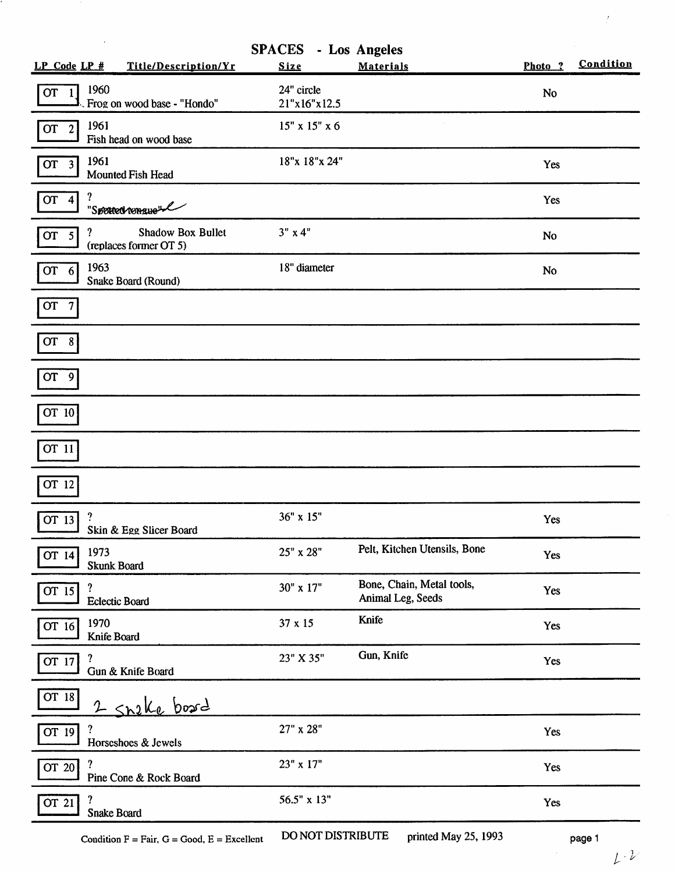| Title/Description/Yr<br>LP Code LP #                                | <b>SPACES</b> - Los Angeles<br><b>Size</b> | <b>Materials</b>                               | Photo ?   | Condition |
|---------------------------------------------------------------------|--------------------------------------------|------------------------------------------------|-----------|-----------|
| 1960<br><b>OT</b><br>$\mathbf{1}$<br>Frog on wood base - "Hondo"    | 24" circle<br>21"x16"x12.5                 |                                                | <b>No</b> |           |
| 1961<br>OT <sub>2</sub><br>Fish head on wood base                   | $15"$ x $15"$ x 6                          |                                                |           |           |
| 1961<br><b>OT</b><br>$\overline{\mathbf{3}}$<br>Mounted Fish Head   | 18"x 18"x 24"                              |                                                | Yes       |           |
| ?<br>OT 4<br>"Sported tongue"                                       |                                            |                                                | Yes       |           |
| ?<br>Shadow Box Bullet<br>OT <sub>5</sub><br>(replaces former OT 5) | 3" x 4"                                    |                                                | <b>No</b> |           |
| 1963<br>OT <sub>6</sub><br>Snake Board (Round)                      | 18" diameter                               |                                                | No        |           |
| OT <sub>7</sub>                                                     |                                            |                                                |           |           |
| OT 8                                                                |                                            |                                                |           |           |
| OT 9                                                                |                                            |                                                |           |           |
| OT 10                                                               |                                            |                                                |           |           |
| OT 11                                                               |                                            |                                                |           |           |
| OT 12                                                               |                                            |                                                |           |           |
| $\cdot$<br>$\overline{OT}$ 13<br>Skin & Egg Slicer Board            | 36" x 15"                                  |                                                | Yes       |           |
| 1973<br>OT 14<br>Skunk Board                                        | 25" x 28"                                  | Pelt, Kitchen Utensils, Bone                   | Yes       |           |
| ?<br>OT 15<br><b>Eclectic Board</b>                                 | 30" x 17"                                  | Bone, Chain, Metal tools,<br>Animal Leg, Seeds | Yes       |           |
| 1970<br>$\overline{OT}$ 16<br>Knife Board                           | 37 x 15                                    | Knife                                          | Yes       |           |
| ?<br>OT 17<br>Gun & Knife Board                                     | 23" X 35"                                  | Gun, Knife                                     | Yes       |           |
| OT 18<br>2 Shake board                                              |                                            |                                                |           |           |
| ?<br>OT 19<br>Horseshoes & Jewels                                   | 27" x 28"                                  |                                                | Yes       |           |
| ?<br>$\overline{\text{OT}}$ 20<br>Pine Cone & Rock Board            | 23" x 17"                                  |                                                | Yes       |           |
| OT 21<br>Snake Board                                                | 56.5" x 13"                                |                                                | Yes       |           |

Condition  $F = Fair$ ,  $G = Good$ ,  $E = Excellent$  DO NOT DISTRIBUTE printed May 25, 1993 page 1

J,

 $\bar{f}$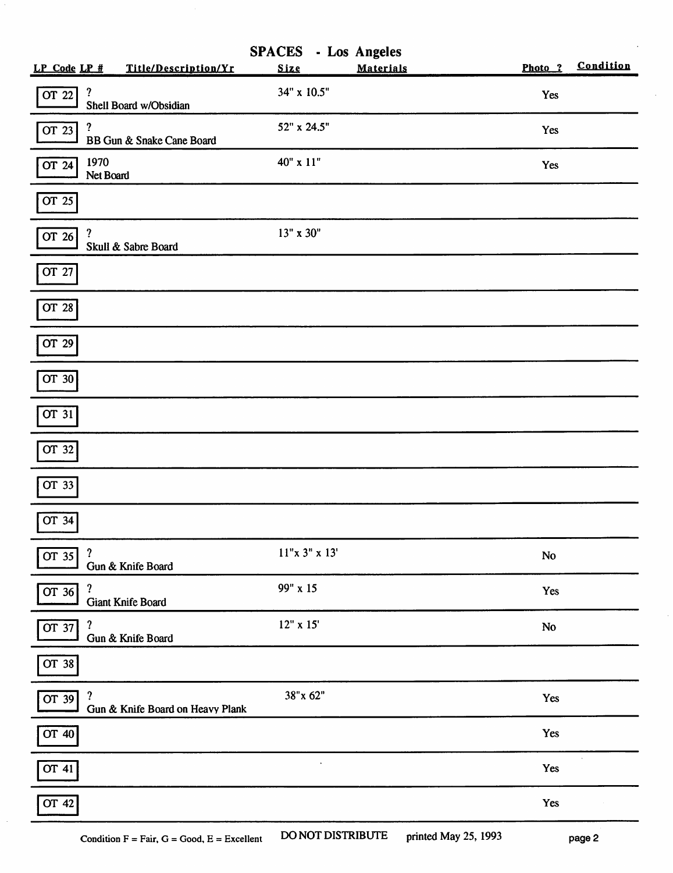|                                                  |                                  |              | <b>SPACES</b> - Los Angeles |           |           |
|--------------------------------------------------|----------------------------------|--------------|-----------------------------|-----------|-----------|
| $LP$ Code $LP$ #                                 | Title/Description/Yr             | Size         | <b>Materials</b>            | Photo ?   | Condition |
| ?<br>OT 22                                       | Shell Board w/Obsidian           | 34" x 10.5"  |                             | Yes       |           |
| ?<br>OT 23                                       | BB Gun & Snake Cane Board        | 52" x 24.5"  |                             | Yes       |           |
| 1970<br>OT 24<br>Net Board                       |                                  | 40" x 11"    |                             | Yes       |           |
| $\overline{OT}$ 25                               |                                  |              |                             |           |           |
| $\overline{\mathbf{r}}$<br>OT 26                 | Skull & Sabre Board              | 13" x 30"    |                             |           |           |
| OT 27                                            |                                  |              |                             |           |           |
| OT 28                                            |                                  |              |                             |           |           |
| OT 29                                            |                                  |              |                             |           |           |
| OT 30                                            |                                  |              |                             |           |           |
| $\overline{\text{OT}}$ 31                        |                                  |              |                             |           |           |
| OT 32                                            |                                  |              |                             |           |           |
| OT 33                                            |                                  |              |                             |           |           |
| OT 34                                            |                                  |              |                             |           |           |
| ?<br>OT 35                                       | Gun & Knife Board                | 11"x 3"x 13' |                             | <b>No</b> |           |
| $\boldsymbol{\mathcal{C}}$<br>$\overline{OT}$ 36 | <b>Giant Knife Board</b>         | 99" x 15     |                             | Yes       |           |
| ?<br>$\overline{OT}$ 37                          | Gun & Knife Board                | 12" x 15'    |                             | No        |           |
| OT 38                                            |                                  |              |                             |           |           |
| ?<br>OT 39                                       | Gun & Knife Board on Heavy Plank | 38"x 62"     |                             | Yes       |           |
| OT 40                                            |                                  |              |                             | Yes       |           |
| OT 41                                            |                                  |              |                             | Yes       |           |
| OT 42                                            |                                  |              |                             | Yes       |           |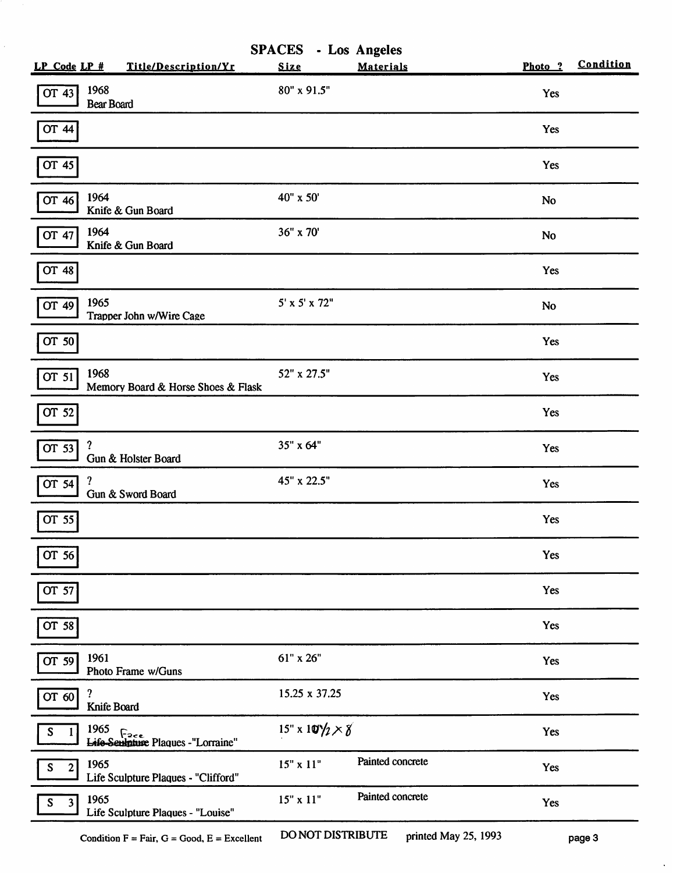| $LP$ Code $LP$ #                       | Title/Description/Yr                       | <b>SPACES</b> - Los Angeles<br>Size | <b>Materials</b> | Photo ?   | Condition |
|----------------------------------------|--------------------------------------------|-------------------------------------|------------------|-----------|-----------|
| 1968<br>OT 43<br><b>Bear Board</b>     |                                            | 80" x 91.5"                         |                  | Yes       |           |
| <b>OT 44</b>                           |                                            |                                     |                  | Yes       |           |
| OT 45                                  |                                            |                                     |                  | Yes       |           |
| 1964<br>OT $46$                        | Knife & Gun Board                          | 40" x 50'                           |                  | No        |           |
| 1964<br>OT 47                          | Knife & Gun Board                          | 36" x 70'                           |                  | <b>No</b> |           |
| OT 48                                  |                                            |                                     |                  | Yes       |           |
| 1965<br>OT 49                          | Trapper John w/Wire Cage                   | $5' \times 5' \times 72''$          |                  | <b>No</b> |           |
| OT 50                                  |                                            |                                     |                  | Yes       |           |
| 1968<br>OT 51                          | Memory Board & Horse Shoes & Flask         | 52" x 27.5"                         |                  | Yes       |           |
| OT $52$                                |                                            |                                     |                  | Yes       |           |
| ?<br>OT 53                             | Gun & Holster Board                        | 35" x 64"                           |                  | Yes       |           |
| ?<br>OT 54                             | Gun & Sword Board                          | 45" x 22.5"                         |                  | Yes       |           |
| OT 55                                  |                                            |                                     |                  | Yes       |           |
| OT 56                                  |                                            |                                     |                  | Yes       |           |
| OT 57                                  |                                            |                                     |                  | Yes       |           |
| OT 58                                  |                                            |                                     |                  | Yes       |           |
| 1961<br>OT 59                          | Photo Frame w/Guns                         | 61" x 26"                           |                  | Yes       |           |
| ?<br>$\overline{OT}$ 60<br>Knife Board |                                            | 15.25 x 37.25                       |                  | Yes       |           |
| 1965<br>S                              | 1965<br>Life-Seulature Plaques -"Lorraine" | $15" \times 10'/2 \times 8$         |                  | Yes       |           |
| 1965<br>$\mathbf{2}$<br>S              | Life Sculpture Plaques - "Clifford"        | $15"$ x $11"$                       | Painted concrete | Yes       |           |
| 1965<br>${\mathsf S}$<br>3             | Life Sculpture Plaques - "Louise"          | 15" x 11"                           | Painted concrete | Yes       |           |
|                                        |                                            |                                     |                  |           |           |

 $\ddot{\phantom{0}}$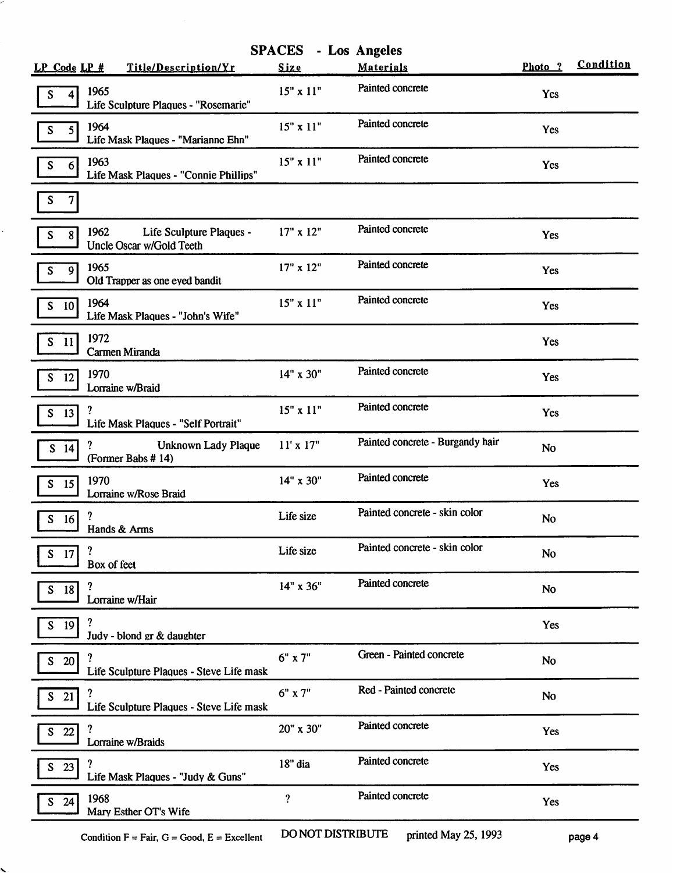|                                                              | <b>SPACES</b> - Los Angeles |                                  |            |           |
|--------------------------------------------------------------|-----------------------------|----------------------------------|------------|-----------|
| Title/Description/Yr                                         | Size                        | <b>Materials</b>                 | Photo ?    | Condition |
| 1965<br>Life Sculpture Plaques - "Rosemarie"                 | $15" \times 11"$            | Painted concrete                 | <b>Yes</b> |           |
| 1964<br>Life Mask Plaques - "Marianne Ehn"                   | $15"$ x $11"$               | Painted concrete                 | Yes        |           |
| 1963<br>Life Mask Plaques - "Connie Phillips"                | $15"$ x $11"$               | Painted concrete                 | Yes        |           |
|                                                              |                             |                                  |            |           |
| 1962<br>Life Sculpture Plaques -<br>Uncle Oscar w/Gold Teeth | 17" x 12"                   | Painted concrete                 | Yes        |           |
| 1965<br>Old Trapper as one eyed bandit                       | $17" \times 12"$            | Painted concrete                 | Yes        |           |
| 1964<br>Life Mask Plaques - "John's Wife"                    | 15" x 11"                   | Painted concrete                 | Yes        |           |
| 1972<br>Carmen Miranda                                       |                             |                                  | Yes        |           |
| 1970<br>Lorraine w/Braid                                     | 14" x 30"                   | Painted concrete                 | Yes        |           |
| Life Mask Plaques - "Self Portrait"                          | 15" x 11"                   | Painted concrete                 | Yes        |           |
| Unknown Lady Plaque<br>(Former Babs #14)                     | $11' \times 17"$            | Painted concrete - Burgandy hair | <b>No</b>  |           |
| 1970<br>Lorraine w/Rose Braid                                | 14" x 30"                   | Painted concrete                 | Yes        |           |
| Hands & Arms                                                 | Life size                   | Painted concrete - skin color    | <b>No</b>  |           |
| ?<br>Box of feet                                             | Life size                   | Painted concrete - skin color    | <b>No</b>  |           |
| ?<br>Lorraine w/Hair                                         | 14" x 36"                   | Painted concrete                 | <b>No</b>  |           |
| Judy - blond gr & daughter                                   |                             |                                  | Yes        |           |
| Life Sculpture Plaques - Steve Life mask                     | $6"$ x $7"$                 | Green - Painted concrete         | <b>No</b>  |           |
| ?<br>Life Sculpture Plaques - Steve Life mask                | 6" x 7"                     | Red - Painted concrete           | <b>No</b>  |           |
| Lorraine w/Braids                                            | 20" x 30"                   | Painted concrete                 | Yes        |           |
| Life Mask Plaques - "Judy & Guns"                            | 18" dia                     | Painted concrete                 | Yes        |           |
| 1968<br>Mary Esther OT's Wife                                | $\overline{?}$              | Painted concrete                 | Yes        |           |
|                                                              | $LP$ Code $LP$ #            |                                  |            |           |

 $\ddot{\phantom{a}}$ 

N